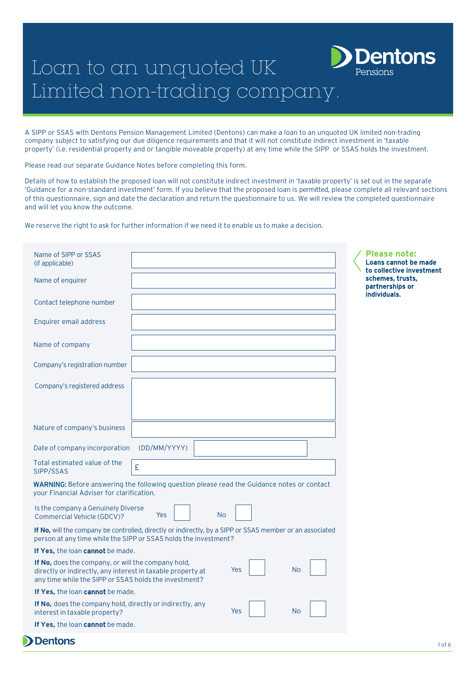# Loan to an unquoted UK Limited non-trading company.

A SIPP or SSAS with Dentons Pension Management Limited (Dentons) can make a loan to an unquoted UK limited non-trading company subject to satisfying our due diligence requirements and that it will not constitute indirect investment in 'taxable property' (i.e. residential property and or tangible moveable property) at any time while the SIPP or SSAS holds the investment.

Pensions

**Pentons** 

Please read our separate Guidance Notes before completing this form.

Details of how to establish the proposed loan will not constitute indirect investment in 'taxable property' is set out in the separate 'Guidance for a non-standard investment' form. If you believe that the proposed loan is permitted, please complete all relevant sections of this questionnaire, sign and date the declaration and return the questionnaire to us. We will review the completed questionnaire and will let you know the outcome.

We reserve the right to ask for further information if we need it to enable us to make a decision.

| Name of SIPP or SSAS<br>(if applicable)                                                                                                                                     |                  |     |           | <b>Please note:</b><br>Loans cannot be made<br>to collective investment |
|-----------------------------------------------------------------------------------------------------------------------------------------------------------------------------|------------------|-----|-----------|-------------------------------------------------------------------------|
| Name of enquirer                                                                                                                                                            |                  |     |           | schemes, trusts,<br>partnerships or                                     |
| Contact telephone number                                                                                                                                                    |                  |     |           | individuals.                                                            |
| Enquirer email address                                                                                                                                                      |                  |     |           |                                                                         |
| Name of company                                                                                                                                                             |                  |     |           |                                                                         |
| Company's registration number                                                                                                                                               |                  |     |           |                                                                         |
| Company's registered address                                                                                                                                                |                  |     |           |                                                                         |
|                                                                                                                                                                             |                  |     |           |                                                                         |
| Nature of company's business                                                                                                                                                |                  |     |           |                                                                         |
| Date of company incorporation                                                                                                                                               | (DD/MM/YYYY)     |     |           |                                                                         |
| Total estimated value of the<br>SIPP/SSAS                                                                                                                                   | £                |     |           |                                                                         |
| <b>WARNING:</b> Before answering the following question please read the Guidance notes or contact<br>your Financial Adviser for clarification.                              |                  |     |           |                                                                         |
| Is the company a Genuinely Diverse<br>Commercial Vehicle (GDCV)?                                                                                                            | <b>No</b><br>Yes |     |           |                                                                         |
| If No, will the company be controlled, directly or indirectly, by a SIPP or SSAS member or an associated<br>person at any time while the SIPP or SSAS holds the investment? |                  |     |           |                                                                         |
| If Yes, the loan cannot be made.                                                                                                                                            |                  |     |           |                                                                         |
| If No, does the company, or will the company hold,<br>directly or indirectly, any interest in taxable property at<br>any time while the SIPP or SSAS holds the investment?  |                  | Yes | <b>No</b> |                                                                         |
| If Yes, the loan cannot be made.                                                                                                                                            |                  |     |           |                                                                         |
| If No, does the company hold, directly or indirectly, any<br>interest in taxable property?                                                                                  |                  | Yes | <b>No</b> |                                                                         |
| If Yes, the loan cannot be made.                                                                                                                                            |                  |     |           |                                                                         |
| <b>Dentons</b>                                                                                                                                                              |                  |     |           |                                                                         |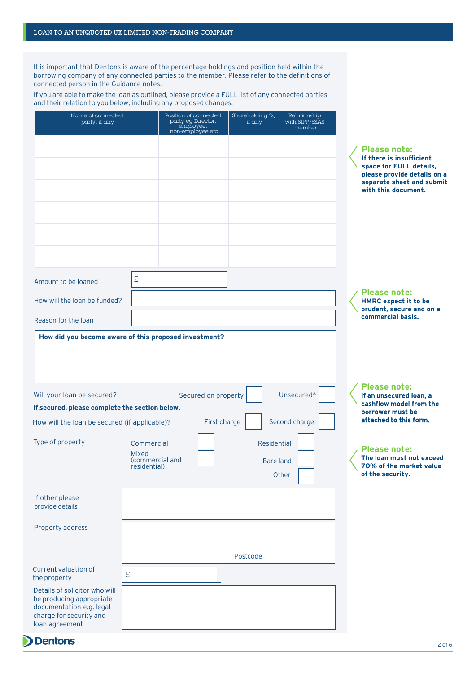It is important that Dentons is aware of the percentage holdings and position held within the borrowing company of any connected parties to the member. Please refer to the definitions of connected person in the Guidance notes.

If you are able to make the loan as outlined, please provide a FULL list of any connected parties and their relation to you below, including any proposed changes.

| <b>Please note:</b><br>If there is insufficient<br>space for FULL details,<br>please provide details on a<br>separate sheet and submit<br>with this document.<br>£<br>Amount to be loaned<br><b>Please note:</b><br>How will the loan be funded?<br><b>HMRC</b> expect it to be<br>prudent, secure and on a<br>commercial basis.<br>Reason for the loan<br>How did you become aware of this proposed investment?<br><b>Please note:</b><br>Will your loan be secured?<br>Secured on property<br>Unsecured*<br>If an unsecured loan, a<br>cashflow model from the<br>If secured, please complete the section below.<br>borrower must be<br>attached to this form.<br>First charge<br>Second charge<br>How will the loan be secured (if applicable)?<br>Type of property<br>Commercial<br>Residential<br><b>Please note:</b><br><b>Mixed</b><br>The loan must not exceed<br>(commercial and<br><b>Bare land</b><br>70% of the market value<br>residential)<br>of the security.<br>Other<br>If other please<br>provide details<br>Property address<br>Postcode<br>Current valuation of<br>£<br>the property<br>Details of solicitor who will<br>be producing appropriate<br>documentation e.g. legal<br>charge for security and<br>loan agreement | Name of connected<br>party, if any | Position of connected<br>party eg Director,<br>employee,<br>non-employee etc | Shareholding %,<br>if any | Relationship<br>with SIPP/SSAS<br>member |  |
|------------------------------------------------------------------------------------------------------------------------------------------------------------------------------------------------------------------------------------------------------------------------------------------------------------------------------------------------------------------------------------------------------------------------------------------------------------------------------------------------------------------------------------------------------------------------------------------------------------------------------------------------------------------------------------------------------------------------------------------------------------------------------------------------------------------------------------------------------------------------------------------------------------------------------------------------------------------------------------------------------------------------------------------------------------------------------------------------------------------------------------------------------------------------------------------------------------------------------------------------|------------------------------------|------------------------------------------------------------------------------|---------------------------|------------------------------------------|--|
|                                                                                                                                                                                                                                                                                                                                                                                                                                                                                                                                                                                                                                                                                                                                                                                                                                                                                                                                                                                                                                                                                                                                                                                                                                                |                                    |                                                                              |                           |                                          |  |
|                                                                                                                                                                                                                                                                                                                                                                                                                                                                                                                                                                                                                                                                                                                                                                                                                                                                                                                                                                                                                                                                                                                                                                                                                                                |                                    |                                                                              |                           |                                          |  |
|                                                                                                                                                                                                                                                                                                                                                                                                                                                                                                                                                                                                                                                                                                                                                                                                                                                                                                                                                                                                                                                                                                                                                                                                                                                |                                    |                                                                              |                           |                                          |  |
|                                                                                                                                                                                                                                                                                                                                                                                                                                                                                                                                                                                                                                                                                                                                                                                                                                                                                                                                                                                                                                                                                                                                                                                                                                                |                                    |                                                                              |                           |                                          |  |
|                                                                                                                                                                                                                                                                                                                                                                                                                                                                                                                                                                                                                                                                                                                                                                                                                                                                                                                                                                                                                                                                                                                                                                                                                                                |                                    |                                                                              |                           |                                          |  |
|                                                                                                                                                                                                                                                                                                                                                                                                                                                                                                                                                                                                                                                                                                                                                                                                                                                                                                                                                                                                                                                                                                                                                                                                                                                |                                    |                                                                              |                           |                                          |  |
|                                                                                                                                                                                                                                                                                                                                                                                                                                                                                                                                                                                                                                                                                                                                                                                                                                                                                                                                                                                                                                                                                                                                                                                                                                                |                                    |                                                                              |                           |                                          |  |
|                                                                                                                                                                                                                                                                                                                                                                                                                                                                                                                                                                                                                                                                                                                                                                                                                                                                                                                                                                                                                                                                                                                                                                                                                                                |                                    |                                                                              |                           |                                          |  |
|                                                                                                                                                                                                                                                                                                                                                                                                                                                                                                                                                                                                                                                                                                                                                                                                                                                                                                                                                                                                                                                                                                                                                                                                                                                |                                    |                                                                              |                           |                                          |  |
|                                                                                                                                                                                                                                                                                                                                                                                                                                                                                                                                                                                                                                                                                                                                                                                                                                                                                                                                                                                                                                                                                                                                                                                                                                                |                                    |                                                                              |                           |                                          |  |
|                                                                                                                                                                                                                                                                                                                                                                                                                                                                                                                                                                                                                                                                                                                                                                                                                                                                                                                                                                                                                                                                                                                                                                                                                                                |                                    |                                                                              |                           |                                          |  |
|                                                                                                                                                                                                                                                                                                                                                                                                                                                                                                                                                                                                                                                                                                                                                                                                                                                                                                                                                                                                                                                                                                                                                                                                                                                |                                    |                                                                              |                           |                                          |  |
|                                                                                                                                                                                                                                                                                                                                                                                                                                                                                                                                                                                                                                                                                                                                                                                                                                                                                                                                                                                                                                                                                                                                                                                                                                                |                                    |                                                                              |                           |                                          |  |
|                                                                                                                                                                                                                                                                                                                                                                                                                                                                                                                                                                                                                                                                                                                                                                                                                                                                                                                                                                                                                                                                                                                                                                                                                                                |                                    |                                                                              |                           |                                          |  |

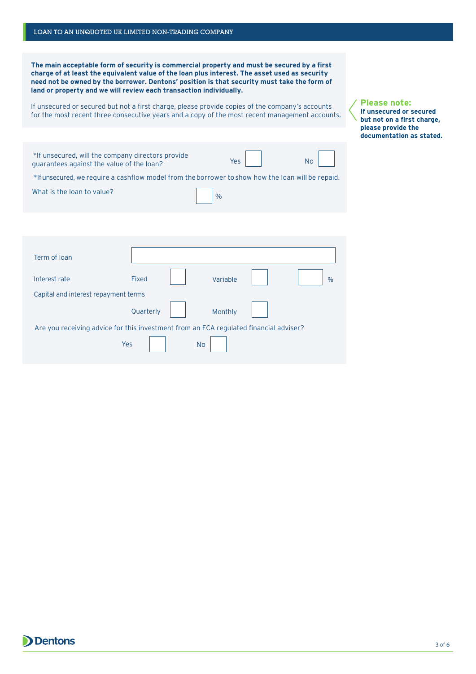**The main acceptable form of security is commercial property and must be secured by a first charge of at least the equivalent value of the loan plus interest. The asset used as security need not be owned by the borrower. Dentons' position is that security must take the form of land or property and we will review each transaction individually.**

If unsecured or secured but not a first charge, please provide copies of the company's accounts for the most recent three consecutive years and a copy of the most recent management accounts.

| *If unsecured, will the company directors provide<br>quarantees against the value of the loan?<br>*If unsecured, we require a cashflow model from the borrower to show how the loan will be repaid.<br>What is the loan to value? |              | Yes<br>$\frac{0}{0}$ | <b>No</b>     |
|-----------------------------------------------------------------------------------------------------------------------------------------------------------------------------------------------------------------------------------|--------------|----------------------|---------------|
|                                                                                                                                                                                                                                   |              |                      |               |
| Term of Ioan                                                                                                                                                                                                                      |              |                      |               |
| Interest rate                                                                                                                                                                                                                     | <b>Fixed</b> | Variable             | $\frac{0}{0}$ |
| Capital and interest repayment terms                                                                                                                                                                                              |              |                      |               |
|                                                                                                                                                                                                                                   | Quarterly    | Monthly              |               |
| Are you receiving advice for this investment from an FCA regulated financial adviser?                                                                                                                                             |              |                      |               |
|                                                                                                                                                                                                                                   | Yes          | <b>No</b>            |               |

#### **Please note: If unsecured or secured but not on a first charge, please provide the documentation as stated.**

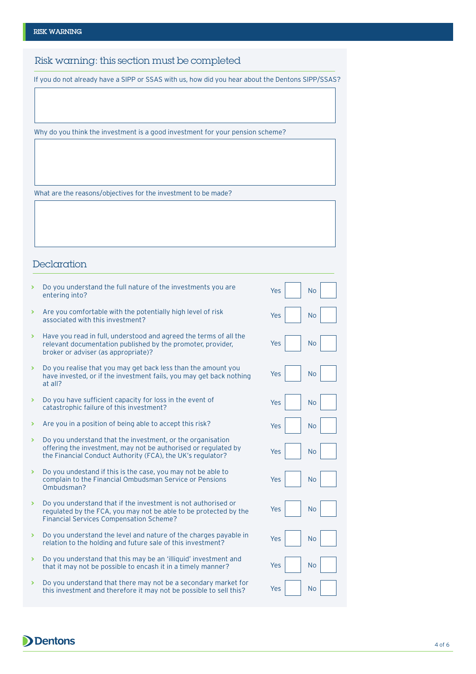Risk warning: this section must be completed

If you do not already have a SIPP or SSAS with us, how did you hear about the Dentons SIPP/SSAS?

Why do you think the investment is a good investment for your pension scheme?

What are the reasons/objectives for the investment to be made?

## **Declaration**

**Dentons** 

|   | Do you understand the full nature of the investments you are<br>entering into?                                                                                                             | Yes | <b>No</b> |
|---|--------------------------------------------------------------------------------------------------------------------------------------------------------------------------------------------|-----|-----------|
| S | Are you comfortable with the potentially high level of risk<br>associated with this investment?                                                                                            | Yes | <b>No</b> |
| ⋟ | Have you read in full, understood and agreed the terms of all the<br>relevant documentation published by the promoter, provider,<br>broker or adviser (as appropriate)?                    | Yes | <b>No</b> |
|   | Do you realise that you may get back less than the amount you<br>have invested, or if the investment fails, you may get back nothing<br>at all?                                            | Yes | <b>No</b> |
|   | Do you have sufficient capacity for loss in the event of<br>catastrophic failure of this investment?                                                                                       | Yes | <b>No</b> |
| > | Are you in a position of being able to accept this risk?                                                                                                                                   | Yes | <b>No</b> |
| S | Do you understand that the investment, or the organisation<br>offering the investment, may not be authorised or regulated by<br>the Financial Conduct Authority (FCA), the UK's regulator? | Yes | <b>No</b> |
|   | Do you undestand if this is the case, you may not be able to<br>complain to the Financial Ombudsman Service or Pensions<br>Ombudsman?                                                      | Yes | <b>No</b> |
|   | Do you understand that if the investment is not authorised or<br>regulated by the FCA, you may not be able to be protected by the<br><b>Financial Services Compensation Scheme?</b>        | Yes | <b>No</b> |
| > | Do you understand the level and nature of the charges payable in<br>relation to the holding and future sale of this investment?                                                            | Yes | <b>No</b> |
|   | Do you understand that this may be an 'illiquid' investment and<br>that it may not be possible to encash it in a timely manner?                                                            | Yes | <b>No</b> |
| ⋟ | Do you understand that there may not be a secondary market for<br>this investment and therefore it may not be possible to sell this?                                                       | Yes | <b>No</b> |
|   |                                                                                                                                                                                            |     |           |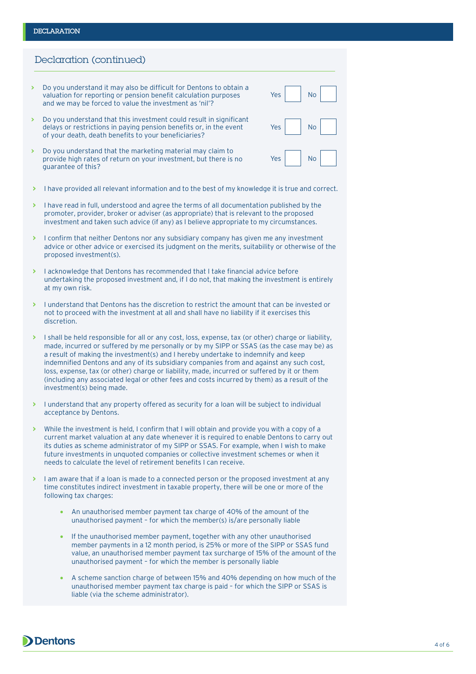### **DECLARATION**

## Declaration (continued)

- **>** Do you understand it may also be difficult for Dentons to obtain a valuation for reporting or pension benefit calculation purposes and we may be forced to value the investment as 'nil'?
- **>** Do you understand that this investment could result in significant delays or restrictions in paying pension benefits or, in the event of your death, death benefits to your beneficiaries?
- **>** Do you understand that the marketing material may claim to provide high rates of return on your investment, but there is no guarantee of this?
- **>** I have provided all relevant information and to the best of my knowledge it is true and correct.
- **>** I have read in full, understood and agree the terms of all documentation published by the promoter, provider, broker or adviser (as appropriate) that is relevant to the proposed investment and taken such advice (if any) as I believe appropriate to my circumstances.
- **>** I confirm that neither Dentons nor any subsidiary company has given me any investment advice or other advice or exercised its judgment on the merits, suitability or otherwise of the proposed investment(s).
- **>** I acknowledge that Dentons has recommended that I take financial advice before undertaking the proposed investment and, if I do not, that making the investment is entirely at my own risk.
- **>** I understand that Dentons has the discretion to restrict the amount that can be invested or not to proceed with the investment at all and shall have no liability if it exercises this discretion.
- **>** I shall be held responsible for all or any cost, loss, expense, tax (or other) charge or liability, made, incurred or suffered by me personally or by my SIPP or SSAS (as the case may be) as a result of making the investment(s) and I hereby undertake to indemnify and keep indemnified Dentons and any of its subsidiary companies from and against any such cost, loss, expense, tax (or other) charge or liability, made, incurred or suffered by it or them (including any associated legal or other fees and costs incurred by them) as a result of the investment(s) being made.
- **>** I understand that any property offered as security for a loan will be subject to individual acceptance by Dentons.
- **>** While the investment is held, I confirm that I will obtain and provide you with a copy of a current market valuation at any date whenever it is required to enable Dentons to carry out its duties as scheme administrator of my SIPP or SSAS. For example, when I wish to make future investments in unquoted companies or collective investment schemes or when it needs to calculate the level of retirement benefits I can receive.
- **>** I am aware that if a loan is made to a connected person or the proposed investment at any time constitutes indirect investment in taxable property, there will be one or more of the following tax charges:
	- An unauthorised member payment tax charge of 40% of the amount of the unauthorised payment – for which the member(s) is/are personally liable
	- If the unauthorised member payment, together with any other unauthorised member payments in a 12 month period, is 25% or more of the SIPP or SSAS fund value, an unauthorised member payment tax surcharge of 15% of the amount of the unauthorised payment – for which the member is personally liable
	- A scheme sanction charge of between 15% and 40% depending on how much of the unauthorised member payment tax charge is paid – for which the SIPP or SSAS is liable (via the scheme administrator).



| Yes | <b>No</b> |
|-----|-----------|
| Yes | No        |
| Yes | <b>No</b> |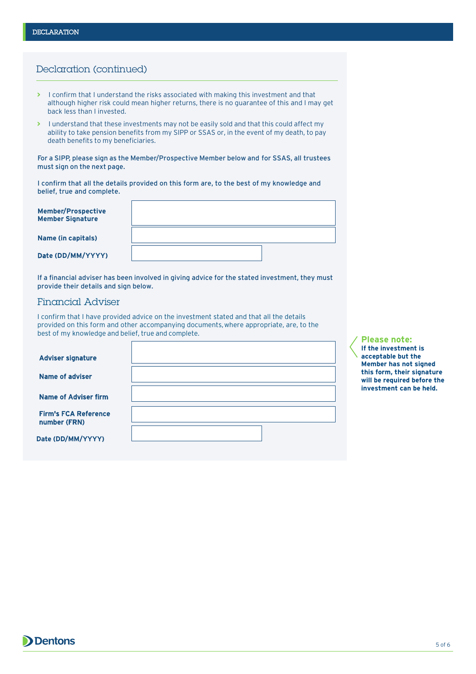# Declaration (continued)

- **>** I confirm that I understand the risks associated with making this investment and that although higher risk could mean higher returns, there is no guarantee of this and I may get back less than I invested.
- **>** I understand that these investments may not be easily sold and that this could affect my ability to take pension benefits from my SIPP or SSAS or, in the event of my death, to pay death benefits to my beneficiaries.

For a SIPP, please sign as the Member/Prospective Member below and for SSAS, all trustees must sign on the next page.

I confirm that all the details provided on this form are, to the best of my knowledge and belief, true and complete.

| <b>Member/Prospective</b><br><b>Member Signature</b> |  |
|------------------------------------------------------|--|
| Name (in capitals)                                   |  |
| Date (DD/MM/YYYY)                                    |  |

If a financial adviser has been involved in giving advice for the stated investment, they must provide their details and sign below.

## Financial Adviser

I confirm that I have provided advice on the investment stated and that all the details provided on this form and other accompanying documents, where appropriate, are, to the best of my knowledge and belief, true and complete.

 $\mathsf{r}$ 

| <b>Adviser signature</b>                    |  |
|---------------------------------------------|--|
| Name of adviser                             |  |
| <b>Name of Adviser firm</b>                 |  |
| <b>Firm's FCA Reference</b><br>number (FRN) |  |
| Date (DD/MM/YYYY)                           |  |

# **Please note:**

**If the investment is acceptable but the Member has not signed this form, their signature will be required before the investment can be held.**